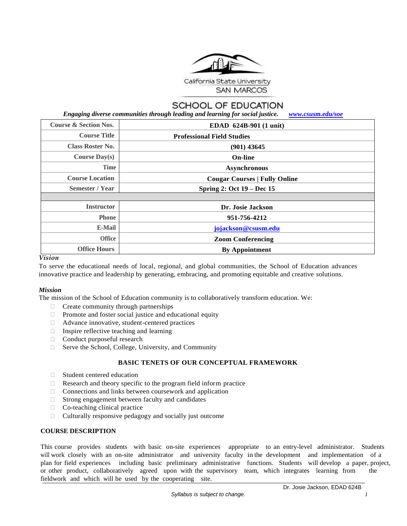

# **SCHOOL OF EDUCATION**

 *Engaging diverse communities through leading and learning for social justice. [www.csusm.edu/soe](http://www.csusm.edu/soe)*

| <b>Course &amp; Section Nos.</b> | <b>EDAD</b> 624B-901 (1 unit)        |
|----------------------------------|--------------------------------------|
| <b>Course Title</b>              | <b>Professional Field Studies</b>    |
| <b>Class Roster No.</b>          | $(901)$ 43645                        |
| Course $Day(s)$                  | <b>On-line</b>                       |
| <b>Time</b>                      | <b>Asynchronous</b>                  |
| <b>Course Location</b>           | <b>Cougar Courses   Fully Online</b> |
| Semester / Year                  | Spring 2: Oct 19 – Dec 15            |
|                                  |                                      |
| <b>Instructor</b>                | Dr. Josie Jackson                    |
| <b>Phone</b>                     | 951-756-4212                         |
| E-Mail                           | jojackson@csusm.edu                  |
| <b>Office</b>                    | <b>Zoom Conferencing</b>             |
| <b>Office Hours</b>              | <b>By Appointment</b>                |

#### *Vision*

To serve the educational needs of local, regional, and global communities, the School of Education advances innovative practice and leadership by generating, embracing, and promoting equitable and creative solutions.

## *Mission*

The mission of the School of Education community is to collaboratively transform education. We:

- $\Box$  Create community through partnerships
- $\Box$  Promote and foster social justice and educational equity
- Advance innovative, student-centered practices
- $\Box$  Inspire reflective teaching and learning
- □ Conduct purposeful research
- $\Box$  Serve the School, College, University, and Community

## **BASIC TENETS OF OUR CONCEPTUAL FRAMEWORK**

- □ Student centered education
- Research and theory specific to the program field inform practice
- $\Box$  Connections and links between coursework and application
- $\Box$  Strong engagement between faculty and candidates
- □ Co-teaching clinical practice
- $\Box$  Culturally responsive pedagogy and socially just outcome

## **COURSE DESCRIPTION**

This course provides students with basic on-site experiences appropriate to an entry-level administrator. Students will work closely with an on-site administrator and university faculty in the development and implementation of a plan for field experiences including basic preliminary administrative functions. Students will develop a paper, project, or other product, collaboratively agreed upon with the supervisory team, which integrates learning from the fieldwork and which will be used by the cooperating site.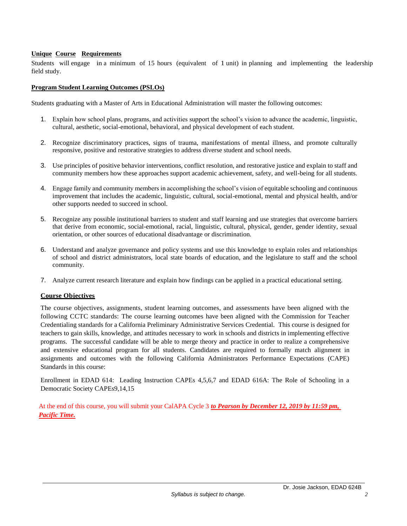# **Unique Course Requirements**

Students will engage in a minimum of 15 hours (equivalent of 1 unit) in planning and implementing the leadership field study.

# **Program Student Learning Outcomes (PSLOs)**

Students graduating with a Master of Arts in Educational Administration will master the following outcomes:

- 1. Explain how school plans, programs, and activities support the school's vision to advance the academic, linguistic, cultural, aesthetic, social-emotional, behavioral, and physical development of each student.
- 2. Recognize discriminatory practices, signs of trauma, manifestations of mental illness, and promote culturally responsive, positive and restorative strategies to address diverse student and school needs.
- 3. Use principles of positive behavior interventions, conflict resolution, and restorative justice and explain to staff and community members how these approaches support academic achievement, safety, and well-being for all students.
- 4. Engage family and community members in accomplishing the school's vision of equitable schooling and continuous improvement that includes the academic, linguistic, cultural, social-emotional, mental and physical health, and/or other supports needed to succeed in school.
- 5. Recognize any possible institutional barriers to student and staff learning and use strategies that overcome barriers that derive from economic, social-emotional, racial, linguistic, cultural, physical, gender, gender identity, sexual orientation, or other sources of educational disadvantage or discrimination.
- 6. Understand and analyze governance and policy systems and use this knowledge to explain roles and relationships of school and district administrators, local state boards of education, and the legislature to staff and the school community.
- 7. Analyze current research literature and explain how findings can be applied in a practical educational setting.

## **Course Objectives**

The course objectives, assignments, student learning outcomes, and assessments have been aligned with the following CCTC standards: The course learning outcomes have been aligned with the Commission for Teacher Credentialing standards for a California Preliminary Administrative Services Credential. This course is designed for teachers to gain skills, knowledge, and attitudes necessary to work in schools and districts in implementing effective programs. The successful candidate will be able to merge theory and practice in order to realize a comprehensive and extensive educational program for all students. Candidates are required to formally match alignment in assignments and outcomes with the following California Administrators Performance Expectations (CAPE) Standards in this course:

Enrollment in EDAD 614: Leading Instruction CAPEs 4,5,6,7 and EDAD 616A: The Role of Schooling in a Democratic Society CAPEs9,14,15

At the end of this course, you will submit your CalAPA Cycle 3 *to Pearson by December 12, 2019 by 11:59 pm, Pacific Time.*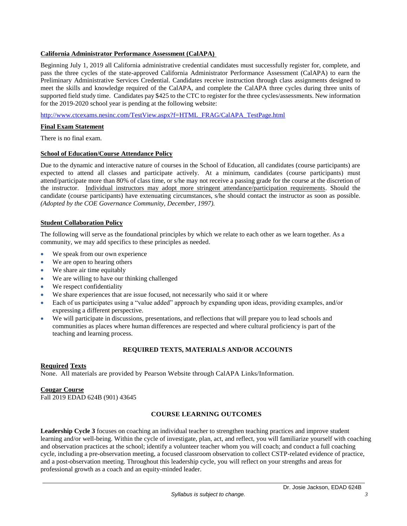# **California Administrator Performance Assessment (CalAPA)**

Beginning July 1, 2019 all California administrative credential candidates must successfully register for, complete, and pass the three cycles of the state-approved California Administrator Performance Assessment (CalAPA) to earn the Preliminary Administrative Services Credential. Candidates receive instruction through class assignments designed to meet the skills and knowledge required of the CalAPA, and complete the CalAPA three cycles during three units of supported field study time. Candidates pay \$425 to the CTC to register for the three cycles/assessments. New information for the 2019-2020 school year is pending at the following website:

[http://www.ctcexams.nesinc.com/TestView.aspx?f=HTML\\_FRAG/CalAPA\\_TestPage.html](http://www.ctcexams.nesinc.com/TestView.aspx?f=HTML_FRAG/CalAPA_TestPage.html)

# **Final Exam Statement**

There is no final exam.

# **School of Education/Course Attendance Policy**

Due to the dynamic and interactive nature of courses in the School of Education, all candidates (course participants) are expected to attend all classes and participate actively. At a minimum, candidates (course participants) must attend/participate more than 80% of class time, or s/he may not receive a passing grade for the course at the discretion of the instructor. Individual instructors may adopt more stringent attendance/participation requirements. Should the candidate (course participants) have extenuating circumstances, s/he should contact the instructor as soon as possible. *(Adopted by the COE Governance Community, December, 1997).*

# **Student Collaboration Policy**

The following will serve as the foundational principles by which we relate to each other as we learn together. As a community, we may add specifics to these principles as needed.

- We speak from our own experience
- We are open to hearing others
- We share air time equitably
- We are willing to have our thinking challenged
- We respect confidentiality
- We share experiences that are issue focused, not necessarily who said it or where
- Each of us participates using a "value added" approach by expanding upon ideas, providing examples, and/or expressing a different perspective.
- We will participate in discussions, presentations, and reflections that will prepare you to lead schools and communities as places where human differences are respected and where cultural proficiency is part of the teaching and learning process.

# **REQUIRED TEXTS, MATERIALS AND/OR ACCOUNTS**

## **Required Texts**

None. All materials are provided by Pearson Website through CalAPA Links/Information.

## **Cougar Course**

Fall 2019 EDAD 624B (901) 43645

# **COURSE LEARNING OUTCOMES**

**Leadership Cycle 3** focuses on coaching an individual teacher to strengthen teaching practices and improve student learning and/or well-being. Within the cycle of investigate, plan, act, and reflect, you will familiarize yourself with coaching and observation practices at the school; identify a volunteer teacher whom you will coach; and conduct a full coaching cycle, including a pre-observation meeting, a focused classroom observation to collect CSTP-related evidence of practice, and a post-observation meeting. Throughout this leadership cycle, you will reflect on your strengths and areas for professional growth as a coach and an equity-minded leader.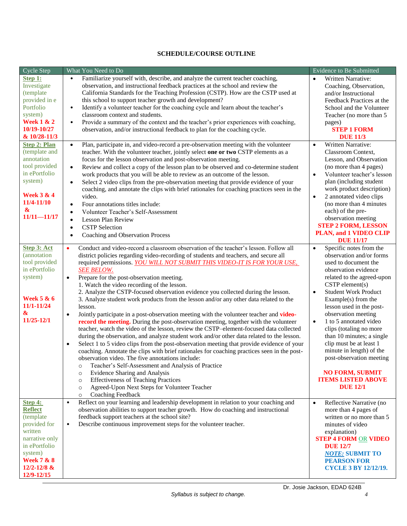#### Cycle Step What You Need to Do Evidence to Be Submitted Cycle Step Evidence to Be Submitted **Step 1:** Investigate (template provided in e Portfolio system) **Week 1 & 2 10/19-10/27 & 10/28-11/3** Familiarize yourself with, describe, and analyze the current teacher coaching, observation, and instructional feedback practices at the school and review the California Standards for the Teaching Profession (CSTP). How are the CSTP used at this school to support teacher growth and development? Identify a volunteer teacher for the coaching cycle and learn about the teacher's classroom context and students. • Provide a summary of the context and the teacher's prior experiences with coaching, observation, and/or instructional feedback to plan for the coaching cycle. • Written Narrative: Coaching, Observation, and/or Instructional Feedback Practices at the School and the Volunteer Teacher (no more than 5 pages) **STEP 1 FORM DUE 11/3 Step 2: Plan** (template and annotation tool provided in ePortfolio system) **Week 3 & 4 11/4-11/10 & 11/11—11/17** Plan, participate in, and video-record a pre-observation meeting with the volunteer teacher. With the volunteer teacher, jointly select **one or two** CSTP elements as a focus for the lesson observation and post-observation meeting. Review and collect a copy of the lesson plan to be observed and co-determine student work products that you will be able to review as an outcome of the lesson. Select 2 video clips from the pre-observation meeting that provide evidence of your coaching, and annotate the clips with brief rationales for coaching practices seen in the video. Four annotations titles include: Volunteer Teacher's Self-Assessment Lesson Plan Review CSTP Selection • Coaching and Observation Process • Written Narrative: Classroom Context, Lesson, and Observation (no more than 4 pages) Volunteer teacher's lesson plan (including student work product description) 2 annotated video clips (no more than 4 minutes each) of the preobservation meeting **STEP 2 FORM, LESSON PLAN, and 1 VIDEO CLIP DUE 11/17 Step 3: Act** (annotation tool provided in ePortfolio system) **Week 5 & 6 11/1-11/24 & 11/25-12/1** Conduct and video-record a classroom observation of the teacher's lesson. Follow all district policies regarding video-recording of students and teachers, and secure all required permissions. *YOU WILL NOT SUBMIT THIS VIDEO-IT IS FOR YOUR USE, SEE BELOW.* • Prepare for the post-observation meeting. 1. Watch the video recording of the lesson. 2. Analyze the CSTP-focused observation evidence you collected during the lesson. 3. Analyze student work products from the lesson and/or any other data related to the lesson. Jointly participate in a post-observation meeting with the volunteer teacher and **videorecord the meeting.** During the post-observation meeting, together with the volunteer teacher, watch the video of the lesson, review the CSTP–element-focused data collected during the observation, and analyze student work and/or other data related to the lesson. Select 1 to 5 video clips from the post-observation meeting that provide evidence of your coaching. Annotate the clips with brief rationales for coaching practices seen in the postobservation video. The five annotations include: o Teacher's Self-Assessment and Analysis of Practice o Evidence Sharing and Analysis o Effectiveness of Teaching Practices o Agreed-Upon Next Steps for Volunteer Teacher o Coaching Feedback • Specific notes from the observation and/or forms used to document the observation evidence related to the agreed-upon CSTP element(s) • Student Work Product Example(s) from the lesson used in the postobservation meeting  $\bullet$  1 to 5 annotated video clips (totaling no more than 10 minutes; a single clip must be at least 1 minute in length) of the post-observation meeting **NO FORM, SUBMIT ITEMS LISTED ABOVE DUE 12/1 Step 4: Reflect** (template provided for written narrative only in ePortfolio system) **Week 7 & 8 12/2-12/8 & 12/9-12/15** • Reflect on your learning and leadership development in relation to your coaching and observation abilities to support teacher growth. How do coaching and instructional feedback support teachers at the school site? • Describe continuous improvement steps for the volunteer teacher. • Reflective Narrative (no more than 4 pages of written or no more than 5 minutes of video explanation) **STEP 4 FORM** OR **VIDEO DUE 12/7** *NOTE:* **SUBMIT TO PEARSON FOR CYCLE 3 BY 12/12/19.**

# **SCHEDULE/COURSE OUTLINE**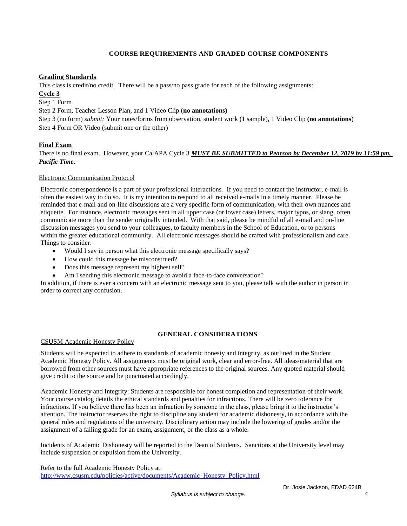# **COURSE REQUIREMENTS AND GRADED COURSE COMPONENTS**

# **Grading Standards**

This class is credit/no credit. There will be a pass/no pass grade for each of the following assignments:

**Cycle 3**

Step 1 Form

Step 2 Form, Teacher Lesson Plan, and 1 Video Clip (**no annotations)**

Step 3 (no form) *submit:* Your notes/forms from observation, student work (1 sample), 1 Video Clip **(no annotations**) Step 4 Form OR Video (submit one or the other)

# **Final Exam**

There is no final exam. However, your CalAPA Cycle 3 *MUST BE SUBMITTED to Pearson by December 12, 2019 by 11:59 pm, Pacific Time.*

# Electronic Communication Protocol

Electronic correspondence is a part of your professional interactions. If you need to contact the instructor, e-mail is often the easiest way to do so. It is my intention to respond to all received e-mails in a timely manner. Please be reminded that e-mail and on-line discussions are a very specific form of communication, with their own nuances and etiquette. For instance, electronic messages sent in all upper case (or lower case) letters, major typos, or slang, often communicate more than the sender originally intended. With that said, please be mindful of all e-mail and on-line discussion messages you send to your colleagues, to faculty members in the School of Education, or to persons within the greater educational community. All electronic messages should be crafted with professionalism and care. Things to consider:

- Would I say in person what this electronic message specifically says?
- How could this message be misconstrued?
- Does this message represent my highest self?
- Am I sending this electronic message to avoid a face-to-face conversation?

In addition, if there is ever a concern with an electronic message sent to you, please talk with the author in person in order to correct any confusion.

## **GENERAL CONSIDERATIONS**

CSUSM Academic Honesty Policy

 Students will be expected to adhere to standards of academic honesty and integrity, as outlined in the Student Academic Honesty Policy. All assignments must be original work, clear and error-free. All ideas/material that are borrowed from other sources must have appropriate references to the original sources. Any quoted material should give credit to the source and be punctuated accordingly.

 Academic Honesty and Integrity: Students are responsible for honest completion and representation of their work. Your course catalog details the ethical standards and penalties for infractions. There will be zero tolerance for infractions. If you believe there has been an infraction by someone in the class, please bring it to the instructor's attention. The instructor reserves the right to discipline any student for academic dishonesty, in accordance with the general rules and regulations of the university. Disciplinary action may include the lowering of grades and/or the assignment of a failing grade for an exam, assignment, or the class as a whole.

Incidents of Academic Dishonesty will be reported to the Dean of Students. Sanctions at the University level may include suspension or expulsion from the University.

Refer to the full Academic Honesty Policy at: [http://www.csusm.edu/policies/active/documents/Academic\\_Honesty\\_Policy.html](http://www.csusm.edu/policies/active/documents/Academic_Honesty_Policy.html)